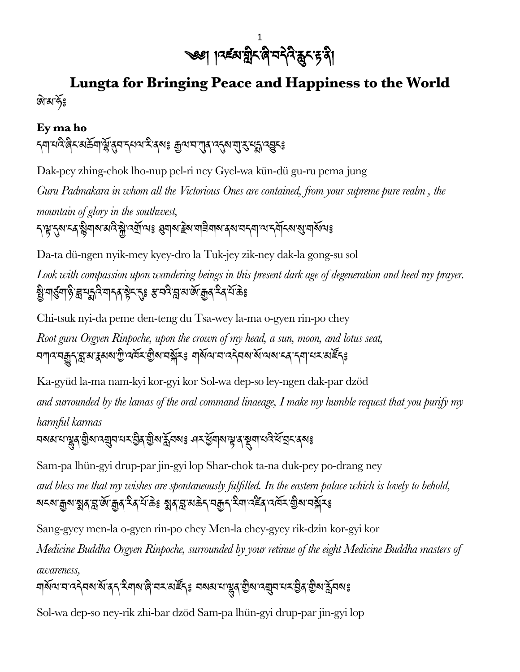

## **Lungta for Bringing Peace and Happiness to the World** জিখর্কিঃ

## **Ey ma ho**

ন্মাথনি ৰিনম্ভিমাণ্ট্ৰবেন ন্যথম ইৰ্মাঃ ক্ৰুণে ন্যান দেখা ব্যৱস্থা বছনঃ

Dak-pey zhing-chok lho-nup pel-ri ney Gyel-wa kün-dü gu-ru pema jung *Guru Padmakara in whom all the Victorious Ones are contained, from your supreme pure realm , the mountain of glory in the southwest,*

নস্মন্দ্ৰ ন্যান্ত জীৱৰ সম্ভিত্য কৰি আৰু প্ৰমাণ কৰি পৰিচালক বিশিষ্ট কৰিবলৈ পৰিচালক বিশ্বৰ সম্ভি

Da-ta dü-ngen nyik-mey kyey-dro la Tuk-jey zik-ney dak-la gong-su sol

*Look with compassion upon wandering beings in this present dark age of degeneration and heed my prayer.* ষ্ট্রামার্ড্রমাণ্ড্রাস্নমুদ্নবিমান্কাষ্ট্রমান্ত্রা স্কুমার্কাস্কার্মান্কাস্কার্মান্কার

Chi-tsuk nyi-da peme den-teng du Tsa-wey la-ma o-gyen rin-po chey

*Root guru Orgyen Rinpoche, upon the crown of my head, a sun, moon, and lotus seat,*  ম্মানমক্কুন্মুমাধ্ৰুমমাদ্ৰীনেৰ্মমান্ত্ৰীমামক্ষ্ণীমঃ মাৰ্মান্মানন্দ্ৰীমমাজামানৰ ন্যানমান্ত্ৰীসং

Ka-gyüd la-ma nam-kyi kor-gyi kor Sol-wa dep-so ley-ngen dak-par dzöd

*and surrounded by the lamas of the oral command linaeage, I make my humble request that you purify my* 

*harmful karmas* <u>বমৰামান্ডুৰ্ শ্ৰীৰানব্ৰুবামমন্ত্ৰীৰ শ্ৰীৰাষ্ট্ৰবমঃ এমব্ৰীৰাৰাষ্ট্ৰাৰ মুখামনিৰ্ম্মহাৰ্</u>ম্ব

Sam-pa lhün-gyi drup-par jin-gyi lop Shar-chok ta-na duk-pey po-drang ney

*and bless me that my wishes are spontaneously fulfilled. In the eastern palace which is lovely to behold,* <u>য়ৼ৶৾ৠ৶৾য়৻ৠ৻ৠ৻ড়৾ৼ৻ৼৄ৻৸ৼৣ৽</u>য়৻৻য়৸ড়ৢৼ৸ড়৸৸ৼঢ়৸ৼড়ড়৸৸৻৸ৼঢ়৻৸ৼ৻ড়

Sang-gyey men-la o-gyen rin-po chey Men-la chey-gyey rik-dzin kor-gyi kor

*Medicine Buddha Orgyen Rinpoche, surrounded by your retinue of the eight Medicine Buddha masters of awareness,*

ঘার্থান্মান্মন্ট্রনমার্মান্ত্র মিকাজ্রান্ত মহারাষ্ট্র নামান্মান্ত্র বিশ্বান্ত মহারাষ্ট্রনমান্ত্র

Sol-wa dep-so ney-rik zhi-bar dzöd Sam-pa lhün-gyi drup-par jin-gyi lop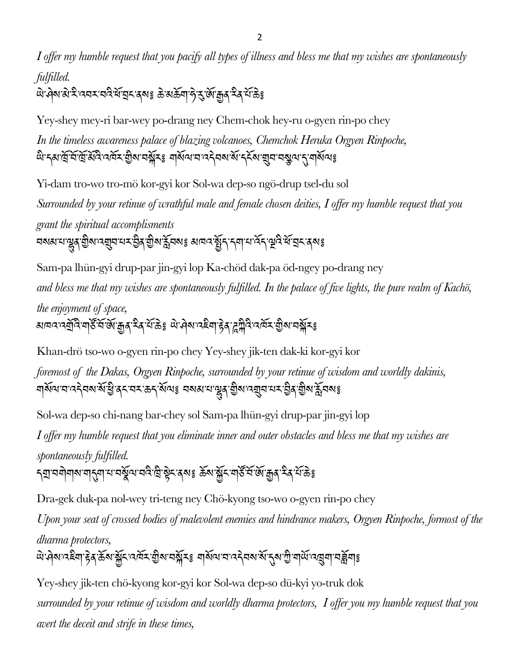2

*I offer my humble request that you pacify all types of illness and bless me that my wishes are spontaneously fulfilled.*

ঐক্সেপ্তা ইদেবম বনীর্মা বিশেষ জ্ঞাপে জ্ঞাপে এক্সেপ্টেই

Yey-shey mey-ri bar-wey po-drang ney Chem-chok hey-ru o-gyen rin-po chey

*In the timeless awareness palace of blazing volcanoes, Chemchok Heruka Orgyen Rinpoche,* অ: ব্যার্ম্রার্ম্রার্ম্রান্ত নের্মর্ম আর্মুন্সমূহঃ বার্ম্বান্ন এর্ম এর্ম র্ম্বান্ন মন্ত্র্য বার্ম্বান্ন বার্ম

Yi-dam tro-wo tro-mö kor-gyi kor Sol-wa dep-so ngö-drup tsel-du sol

*Surrounded by your retinue of wrathful male and female chosen deities, I offer my humble request that you grant the spiritual accomplisments* ব্ৰম্নামান্ট্ৰৰ গ্ৰীৰানব্ৰানমস্ট্ৰৰ গ্ৰীৰাৰ্মুবৰাঃ মাননস্থিত্ৰ বিনামানবি স্থিত্যবিদ্যাৰ ৰমঃ

Sam-pa lhün-gyi drup-par jin-gyi lop Ka-chöd dak-pa öd-ngey po-drang ney

*and bless me that my wishes are spontaneously fulfilled. In the palace of five lights, the pure realm of Kachö,* 

*the enjoyment of space,* <u> থাবাৰ বেমুবি বাস্কু ব্যুক্তি মুখ বুখ প্ৰেণ্ট আৰু প্ৰাৰ্থ প্ৰদূষ হৈ পি এখি প্ৰতি বিশ্ববিদ্যালয় বি</u>

Khan-drö tso-wo o-gyen rin-po chey Yey-shey jik-ten dak-ki kor-gyi kor

*foremost of the Dakas, Orgyen Rinpoche, surrounded by your retinue of wisdom and worldly dakinis,*  বার্থ্যমানান বিশিষ্টিয়ে বিশেষ প্রায় বিশেষ একা বিশিষ্টি এই বিশেষ বিশেষ বিশিষ্ট

Sol-wa dep-so chi-nang bar-chey sol Sam-pa lhün-gyi drup-par jin-gyi lop *I offer my humble request that you eliminate inner and outer obstacles and bless me that my wishes are spontaneously fulfilled.*

ন্মা বশীৰাৰ নাইনা নামৰ্ষ্টৰ প্ৰত্য দুৰী হৈ প্ৰত্য হৈ আৰু দুৰী হৈ আৰু প্ৰত্য কৰি কু

Dra-gek duk-pa nol-wey tri-teng ney Chö-kyong tso-wo o-gyen rin-po chey

*Upon your seat of crossed bodies of malevolent enemies and hindrance makers, Orgyen Rinpoche, formost of the dharma protectors,* 

অ: ৭মা বেছিনা দ্বিথা ক্লম প্ৰতি মাৰ্ছৰ এই বিধে মাৰ্ছৰ প্ৰতি বিধে বিধে বিধি এই বিধি দিয়া বি

Yey-shey jik-ten chö-kyong kor-gyi kor Sol-wa dep-so dü-kyi yo-truk dok *surrounded by your retinue of wisdom and worldly dharma protectors, I offer you my humble request that you avert the deceit and strife in these times,*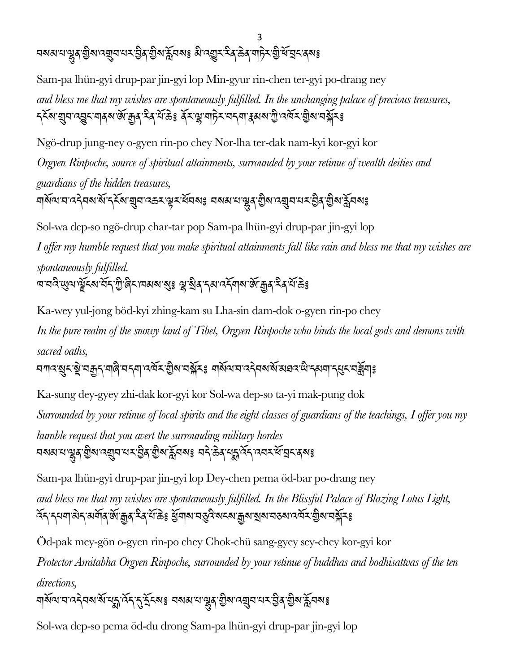<u>বৰুৱাৰ জীৱাৰ মুখৰ মহতীৰ ব</u>িৰাষ্ট্ৰৰ মুখৰ মুখৰ স্থাপনীত কৰি মুখৰ স্থাপনীত

Sam-pa lhün-gyi drup-par jin-gyi lop Min-gyur rin-chen ter-gyi po-drang ney *and bless me that my wishes are spontaneously fulfilled. In the unchanging palace of precious treasures, ॸ্* ২খে য়ুন ব্রুন শৰ্ষ জ্যেন্দ্র ব্যক্তিঃ ধ্যান্ত্র নাট্য নাই বিষয়া বিদ্যালয় বিষয়া বিষয়া

Ngö-drup jung-ney o-gyen rin-po chey Nor-lha ter-dak nam-kyi kor-gyi kor

*Orgyen Rinpoche, source of spiritual attainments, surrounded by your retinue of wealth deities and guardians of the hidden treasures,*

ঘার্থান্মান্মন্দ্র্যমার্মান্ম্র্মান্মক্রমান্ন্ম্মার্মিকাং নম্প্রামান্ম্মন্মান্মমান্ত্র্যমার্ম্মন্মাঃ

Sol-wa dep-so ngö-drup char-tar pop Sam-pa lhün-gyi drup-par jin-gyi lop

*I offer my humble request that you make spiritual attainments fall like rain and bless me that my wishes are spontaneously fulfilled.*

অ'নন্ত খেন'সূঁচখে দুখ গ্ৰীপ্ৰত অসম প্ৰাই জীৱ'ৰ প্ৰত্যাত প্ৰাৰম্ভ শ্ৰীৰ দুখ সুৰ

Ka-wey yul-jong böd-kyi zhing-kam su Lha-sin dam-dok o-gyen rin-po chey

*In the pure realm of the snowy land of Tibet, Orgyen Rinpoche who binds the local gods and demons with sacred oaths,*

বশ্যবর্ষুবস্থানক্রুন বালি বর্নশানর্দ্রব শ্রীষ্য বর্ষুবঃ বার্ষান্ম বর্তনম্বর মাক্ষেত্র ক্ষেত্র বর্ষুবাঃ

Ka-sung dey-gyey zhi-dak kor-gyi kor Sol-wa dep-so ta-yi mak-pung dok *Surrounded by your retinue of local spirits and the eight classes of guardians of the teachings, I offer you my humble request that you avert the surrounding military hordes* <u>বমৰামান্ডুৰ্ শ্ৰীৰানব্ৰুবামৰ ব্ৰীৰাষ্ট্ৰৰাষ্ট্ৰ</u> অনীড়ৰ্ছ ব্ৰাই কৰা বিশ্বাসকলে বিভিন্ন

Sam-pa lhün-gyi drup-par jin-gyi lop Dey-chen pema öd-bar po-drang ney *and bless me that my wishes are spontaneously fulfilled. In the Blissful Palace of Blazing Lotus Light,*  হ্নি ন্যানা ৰান অৰ্থাৰ জেম্ব্ৰে স্কুল কৰা মুখ্য মন্ত্ৰী ৰাম প্ৰতি আৰু মুখ্য সম্ভিত অৰ্থা সম্ভিত কৰা

Öd-pak mey-gön o-gyen rin-po chey Chok-chü sang-gyey sey-chey kor-gyi kor

*Protector Amitabha Orgyen Rinpoche, surrounded by your retinue of buddhas and bodhisattvas of the ten directions,*

ঘার্থ্যে ঘান্ট্রমগর্মা মুহ্নার্দ্র দুইন্ডেঃ ব্যব্য নাত্রী এর্থা এর্মান্ড্রার্ড্রার্ড্রার্ম্ন ব্যব্

Sol-wa dep-so pema öd-du drong Sam-pa lhün-gyi drup-par jin-gyi lop